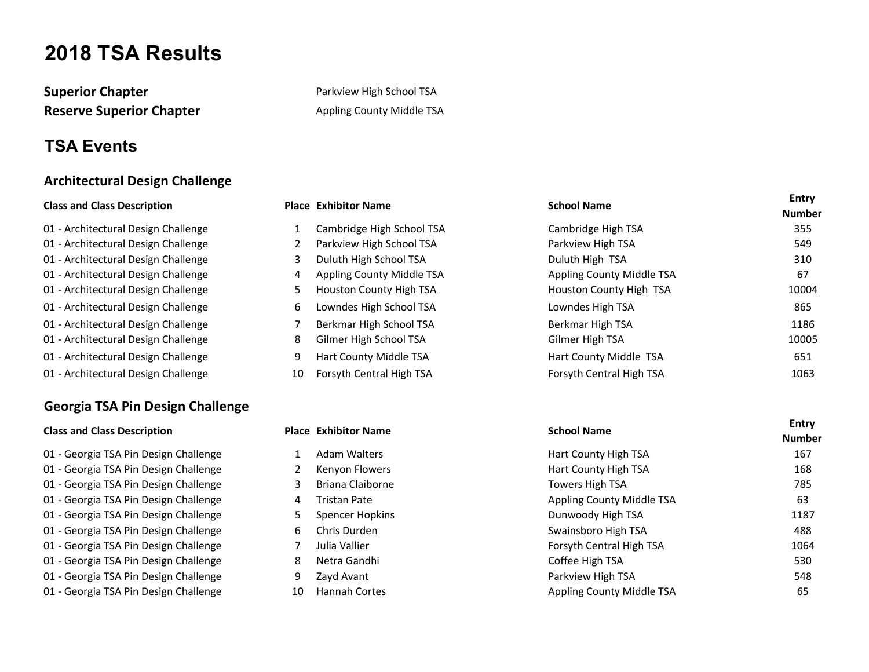**Superior Chapter Parkview High School TSA** Reserve Superior Chapter **Appling County Middle TSA** 

### TSA Events

### Architectural Design Challenge

- 01 Architectural Design Challenge 1 Cambridge High School TSA
- 01 Architectural Design Challenge 2 Parkview High School TSA
- 01 Architectural Design Challenge 3 Duluth High School TSA
- 
- 
- 
- 
- 01 Architectural Design Challenge 1988 8 Gilmer High School TSA
- 01 Architectural Design Challenge 9 Hart County Middle TSA
- 01 Architectural Design Challenge 10 Forsyth Central High TSA

### Georgia TSA Pin Design Challenge

- 
- 
- 
- 
- 
- 
- 
- 
- 
- 
- 

# Entry<br>Class and Class Description **Entry Place Exhibitor Name School Name** School Name Entry 01 - Architectural Design Challenge **4 Appling County Middle TSA** 01 - Architectural Design Challenge 5 Houston County High TSA 01 - Architectural Design Challenge 6 Lowndes High School TSA 01 - Architectural Design Challenge 7 Berkmar High School TSA

- 
- 
- 
- 
- 
- 
- 
- 
- 
- 

|                           | <b>Number</b> |
|---------------------------|---------------|
| Cambridge High TSA        | 355           |
| Parkview High TSA         | 549           |
| Duluth High TSA           | 310           |
| Appling County Middle TSA | 67            |
| Houston County High TSA   | 10004         |
| Lowndes High TSA          | 865           |
| Berkmar High TSA          | 1186          |
| Gilmer High TSA           | 10005         |
| Hart County Middle TSA    | 651           |
| Forsyth Central High TSA  | 1063          |

### Entry<br>Class and Class Description **Reserves Absolute Class and Class Description** Place Exhibitor Name School Name Entry Number 01 - Georgia TSA Pin Design Challenge 1 1 Adam Walters 1 Adam Walters Hart County High TSA 167 01 - Georgia TSA Pin Design Challenge 2 Kenyon Flowers **168** Hart County High TSA 168 01 - Georgia TSA Pin Design Challenge **3 Briana Claiborne 1986** Towers High TSA 785 01 - Georgia TSA Pin Design Challenge **4 Tristan Pate 1964** County Middle TSA 63 01 - Georgia TSA Pin Design Challenge **5 Spencer Hopkins Challenge 1187 Dunwoody High TSA** 1187 01 - Georgia TSA Pin Design Challenge **6 Ghris Durden** Swainsboro High TSA 6488 01 - Georgia TSA Pin Design Challenge **7 The Vallier 1004** To Systh Central High TSA 1064 01 - Georgia TSA Pin Design Challenge 1988 Netra Gandhi 1988 Netra Gandhi Coffee High TSA 630 01 - Georgia TSA Pin Design Challenge **9 2ayd Avant** 2008 12 2ayd Avant Parkview High TSA 548 01 - Georgia TSA Pin Design Challenge 10 Hannah Cortes 10 Hannah Cortes Appling County Middle TSA 65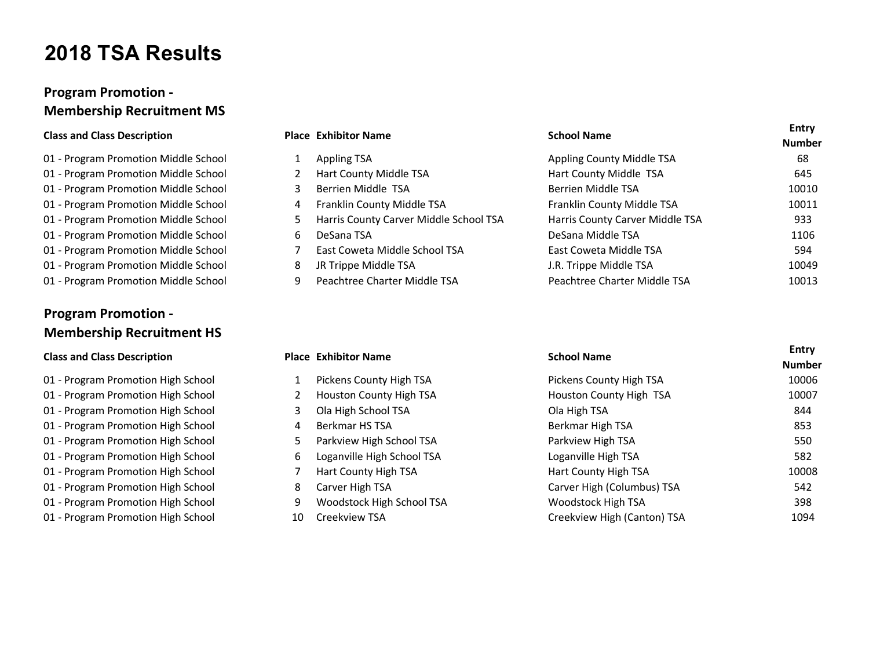### Program Promotion - Membership Recruitment MS

### Program Promotion - Membership Recruitment HS

- 01 Program Promotion High School
- 01 Program Promotion High School
- 01 Program Promotion High School
- 01 Program Promotion High School
- 01 Program Promotion High School
- 01 Program Promotion High School
- 01 Program Promotion High School
- 01 Program Promotion High School
- 01 Program Promotion High School
- 

| <b>Class and Class Description</b>   |   | <b>Place Exhibitor Name</b>            | <b>School Name</b>              | Entry<br><b>Number</b> |
|--------------------------------------|---|----------------------------------------|---------------------------------|------------------------|
| 01 - Program Promotion Middle School |   | Appling TSA                            | Appling County Middle TSA       | 68                     |
| 01 - Program Promotion Middle School |   | Hart County Middle TSA                 | Hart County Middle TSA          | 645                    |
| 01 - Program Promotion Middle School |   | Berrien Middle TSA                     | Berrien Middle TSA              | 10010                  |
| 01 - Program Promotion Middle School | 4 | Franklin County Middle TSA             | Franklin County Middle TSA      | 10011                  |
| 01 - Program Promotion Middle School | 5 | Harris County Carver Middle School TSA | Harris County Carver Middle TSA | 933                    |
| 01 - Program Promotion Middle School | 6 | DeSana TSA                             | DeSana Middle TSA               | 1106                   |
| 01 - Program Promotion Middle School |   | East Coweta Middle School TSA          | East Coweta Middle TSA          | 594                    |
| 01 - Program Promotion Middle School | 8 | JR Trippe Middle TSA                   | J.R. Trippe Middle TSA          | 10049                  |
| 01 - Program Promotion Middle School |   | Peachtree Charter Middle TSA           | Peachtree Charter Middle TSA    | 10013                  |

| <b>Class and Class Description</b> |    | <b>Place Exhibitor Name</b>    | <b>School Name</b>          | Entry         |  |
|------------------------------------|----|--------------------------------|-----------------------------|---------------|--|
|                                    |    |                                |                             | <b>Number</b> |  |
| 01 - Program Promotion High School | 1  | Pickens County High TSA        | Pickens County High TSA     | 10006         |  |
| 01 - Program Promotion High School |    | <b>Houston County High TSA</b> | Houston County High TSA     | 10007         |  |
| 01 - Program Promotion High School | 3  | Ola High School TSA            | Ola High TSA                | 844           |  |
| 01 - Program Promotion High School | 4  | Berkmar HS TSA                 | Berkmar High TSA            | 853           |  |
| 01 - Program Promotion High School |    | Parkview High School TSA       | Parkview High TSA           | 550           |  |
| 01 - Program Promotion High School | 6  | Loganville High School TSA     | Loganville High TSA         | 582           |  |
| 01 - Program Promotion High School |    | Hart County High TSA           | Hart County High TSA        | 10008         |  |
| 01 - Program Promotion High School | 8  | Carver High TSA                | Carver High (Columbus) TSA  | 542           |  |
| 01 - Program Promotion High School | 9  | Woodstock High School TSA      | Woodstock High TSA          | 398           |  |
| 01 - Program Promotion High School | 10 | Creekview TSA                  | Creekview High (Canton) TSA | 1094          |  |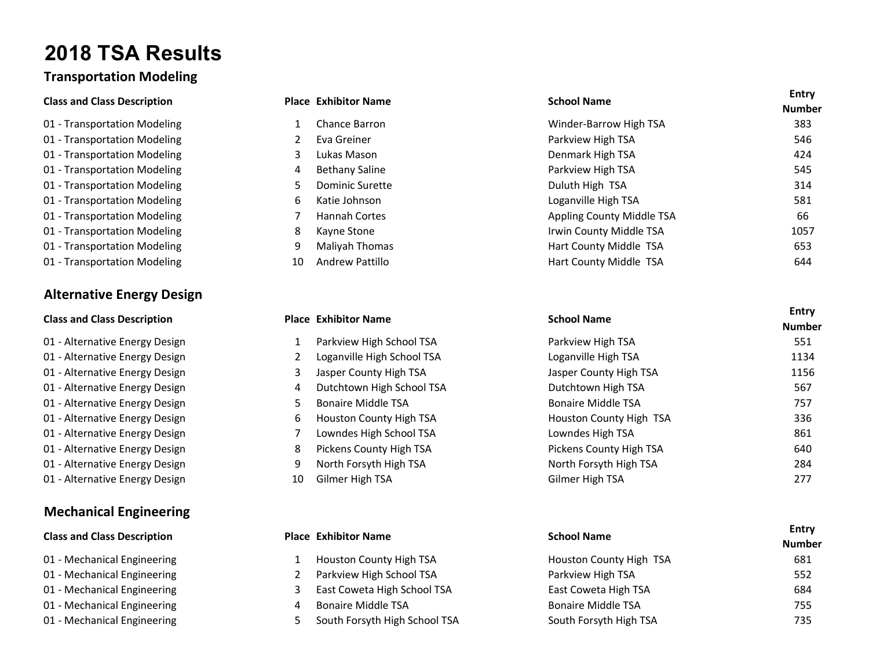### Transportation Modeling

- 01 Transportation Modeling 1 Chance Barron
- 01 Transportation Modeling 2 Eva Greiner
- 01 Transportation Modeling 1986 100 3 Lukas Mason
- 01 Transportation Modeling 4 Bethany Saline Parkview High TSA 545
- 01 Transportation Modeling 5 Dominic Surette Duluth High TSA 314
- 01 Transportation Modeling **6 Katie Johnson**
- 01 Transportation Modeling 7 Hannah Cortes
- 01 Transportation Modeling **8 Kayne Stone**
- 01 Transportation Modeling 1986 Maliyah Thomas
- 01 Transportation Modeling 10 Andrew Pattillo

### Alternative Energy Design

- 01 Alternative Energy Design
- 01 Alternative Energy Design
- 01 Alternative Energy Design
- 01 Alternative Energy Design
- 01 Alternative Energy Design
- 01 Alternative Energy Design
- 01 Alternative Energy Design
- 01 Alternative Energy Design
- 01 Alternative Energy Design
- 01 Alternative Energy Design

### Mechanical Engineering

- 
- 
- 
- 01 Mechanical Engineering 70 1 Mechanical Engineering 7555 100 1 Mechanical Engineering
- 

- 
- 
- 
- 
- 
- 
- 
- 
- 
- 

| Place Exhibitor Name       |  |
|----------------------------|--|
| Parkview High School TSA   |  |
| Loganville High School TSA |  |
| Jasper County High TSA     |  |
| Dutchtown High School TSA  |  |
| <b>Bonaire Middle TSA</b>  |  |
| Houston County High TSA    |  |
| Lowndes High School TSA    |  |
| Pickens County High TSA    |  |
| North Forsyth High TSA     |  |
| Gilmer High TSA            |  |
|                            |  |

- 01 Mechanical Engineering 1 Houston County High TSA
- 01 Mechanical Engineering 2 Parkview High School TSA
- 01 Mechanical Engineering 3 East Coweta High School TSA
	-
- 01 Mechanical Engineering 5 South Forsyth High School TSA

| <b>Place Exhibitor Name</b>  | <b>School Name</b>        | <b>Entry</b><br><b>Number</b> |
|------------------------------|---------------------------|-------------------------------|
| <b>Chance Barron</b>         | Winder-Barrow High TSA    | 383                           |
| Eva Greiner                  | Parkview High TSA         | 546                           |
| Lukas Mason<br>3.            | Denmark High TSA          | 424                           |
| <b>Bethany Saline</b><br>4   | Parkview High TSA         | 545                           |
| Dominic Surette<br>כ         | Duluth High TSA           | 314                           |
| Katie Johnson<br>6.          | Loganville High TSA       | 581                           |
| <b>Hannah Cortes</b>         | Appling County Middle TSA | 66                            |
| 8<br>Kayne Stone             | Irwin County Middle TSA   | 1057                          |
| Maliyah Thomas<br>9          | Hart County Middle TSA    | 653                           |
| <b>Andrew Pattillo</b><br>10 | Hart County Middle TSA    | 644                           |
|                              |                           |                               |

| <b>Class and Class Description</b> |    | <b>Place Exhibitor Name</b>    | <b>School Name</b>        | Entry<br><b>Number</b> |
|------------------------------------|----|--------------------------------|---------------------------|------------------------|
| 01 - Alternative Energy Design     |    | Parkview High School TSA       | Parkview High TSA         | 551                    |
| 01 - Alternative Energy Design     |    | Loganville High School TSA     | Loganville High TSA       | 1134                   |
| 01 - Alternative Energy Design     | 3  | Jasper County High TSA         | Jasper County High TSA    | 1156                   |
| 01 - Alternative Energy Design     | 4  | Dutchtown High School TSA      | Dutchtown High TSA        | 567                    |
| 01 - Alternative Energy Design     | כ  | <b>Bonaire Middle TSA</b>      | <b>Bonaire Middle TSA</b> | 757                    |
| 01 - Alternative Energy Design     | 6. | <b>Houston County High TSA</b> | Houston County High TSA   | 336                    |
| 01 - Alternative Energy Design     |    | Lowndes High School TSA        | Lowndes High TSA          | 861                    |
| 01 - Alternative Energy Design     | 8  | Pickens County High TSA        | Pickens County High TSA   | 640                    |
| 01 - Alternative Energy Design     | 9  | North Forsyth High TSA         | North Forsyth High TSA    | 284                    |
| 01 - Alternative Energy Design     | 10 | Gilmer High TSA                | Gilmer High TSA           | 277                    |
|                                    |    |                                |                           |                        |

| <b>Class and Class Description</b> | <b>Place Exhibitor Name</b>    | <b>School Name</b>        | Entry<br><b>Number</b> |
|------------------------------------|--------------------------------|---------------------------|------------------------|
| 01 - Mechanical Engineering        | <b>Houston County High TSA</b> | Houston County High TSA   | 681                    |
| 01 - Mechanical Engineering        | Parkview High School TSA       | Parkview High TSA         | 552                    |
| 01 - Mechanical Engineering        | East Coweta High School TSA    | East Coweta High TSA      | 684                    |
| 01 - Mechanical Engineering        | <b>Bonaire Middle TSA</b>      | <b>Bonaire Middle TSA</b> | 755                    |
| 01 - Mechanical Engineering        | South Forsyth High School TSA  | South Forsyth High TSA    | 735                    |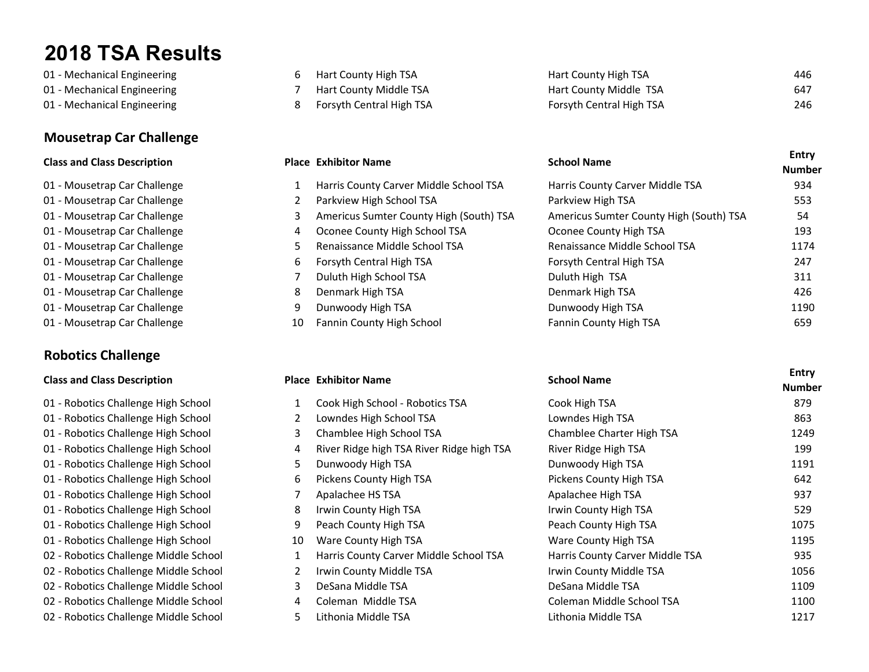- 
- 
- 

### Mousetrap Car Challenge

- 01 Mousetrap Car Challenge 1 1 Harris County Carver Middle School TSA
- 01 Mousetrap Car Challenge 2 Parkview High School TSA
- 01 Mousetrap Car Challenge 3 Americus Sumter County High (South) TSA
- 01 Mousetrap Car Challenge 1986 1987 1988 1989 10 4 Oconee County High School TSA
- 01 Mousetrap Car Challenge 1996 1997 1998 Senaissance Middle School TSA
- 01 Mousetrap Car Challenge 6 Forsyth Central High TSA
- 01 Mousetrap Car Challenge 7 Duluth High School TSA
- 01 Mousetrap Car Challenge **8 Benedicts** 8 Denmark High TSA
- 01 Mousetrap Car Challenge 1986 100 MB 1000 9 Dunwoody High TSA
- 01 Mousetrap Car Challenge 10 Fannin County High School

### Robotics Challenge

| 01 - Mechanical Engineering | Hart County High TSA     | Hart County High TSA     | 446 |
|-----------------------------|--------------------------|--------------------------|-----|
| 01 - Mechanical Engineering | Hart County Middle TSA   | Hart County Middle TSA   | 647 |
| 01 - Mechanical Engineering | Forsyth Central High TSA | Forsyth Central High TSA | 246 |

| <b>Place Exhibitor Name</b>             | <b>School Name</b>                      | Entry<br><b>Number</b> |
|-----------------------------------------|-----------------------------------------|------------------------|
| Harris County Carver Middle School TSA  | Harris County Carver Middle TSA         | 934                    |
| Parkview High School TSA                | Parkview High TSA                       | 553                    |
| Americus Sumter County High (South) TSA | Americus Sumter County High (South) TSA | 54                     |
| Oconee County High School TSA           | Oconee County High TSA                  | 193                    |
| Renaissance Middle School TSA           | Renaissance Middle School TSA           | 1174                   |
| Forsyth Central High TSA                | Forsyth Central High TSA                | 247                    |
| Duluth High School TSA                  | Duluth High TSA                         | 311                    |
| Denmark High TSA                        | Denmark High TSA                        | 426                    |
| Dunwoody High TSA                       | Dunwoody High TSA                       | 1190                   |
| Fannin County High School               | Fannin County High TSA                  | 659                    |
|                                         |                                         |                        |

| <b>School Name</b>              | <b>Entry</b><br><b>Number</b> |
|---------------------------------|-------------------------------|
| Cook High TSA                   | 879                           |
| Lowndes High TSA                | 863                           |
| Chamblee Charter High TSA       | 1249                          |
| River Ridge High TSA            | 199                           |
| Dunwoody High TSA               | 1191                          |
| Pickens County High TSA         | 642                           |
| Apalachee High TSA              | 937                           |
| Irwin County High TSA           | 529                           |
| Peach County High TSA           | 1075                          |
| Ware County High TSA            | 1195                          |
| Harris County Carver Middle TSA | 935                           |
| Irwin County Middle TSA         | 1056                          |
| DeSana Middle TSA               | 1109                          |
| Coleman Middle School TSA       | 1100                          |
| Lithonia Middle TSA             | 1217                          |
|                                 |                               |